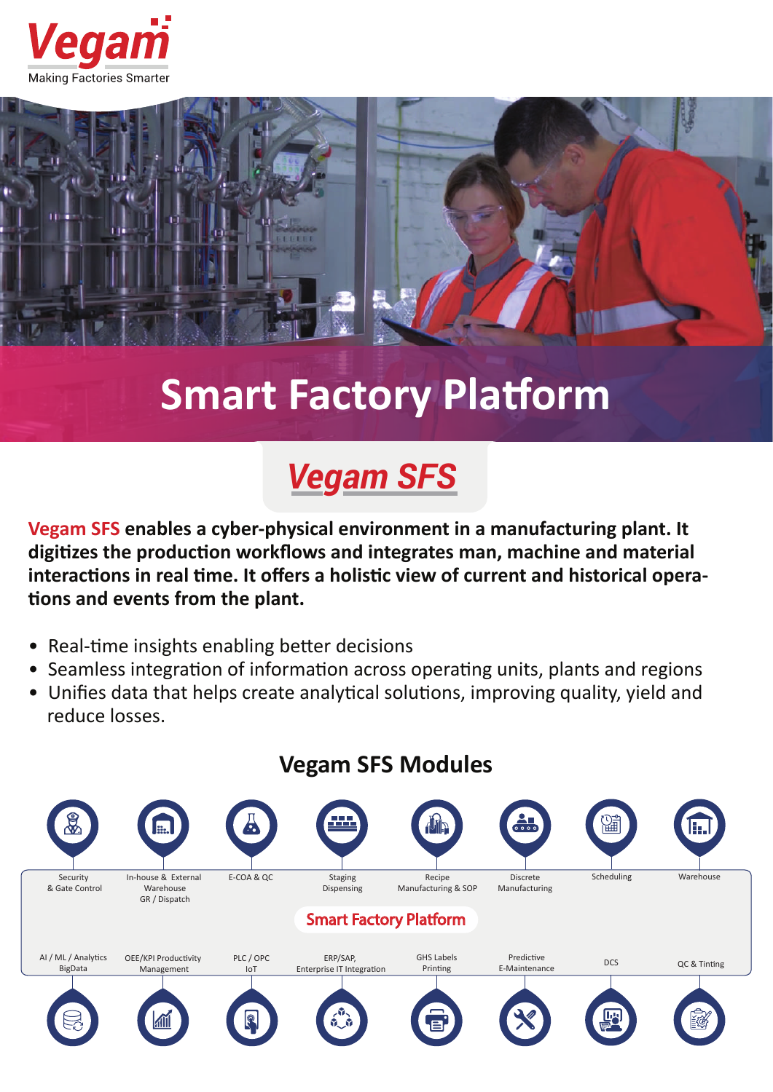



# **Smart Factory Platform**

## *Vegam SFS*

**Vegam SFS enables a cyber-physical environment in a manufacturing plant. It**  digitizes the production workflows and integrates man, machine and material **interac�ons in real �me. It offers a holis�c view of current and historical opera- �ons and events from the plant.**

- Real-time insights enabling better decisions
- Seamless integration of information across operating units, plants and regions
- Unifies data that helps create analytical solutions, improving quality, yield and reduce losses.



### **Vegam SFS Modules**